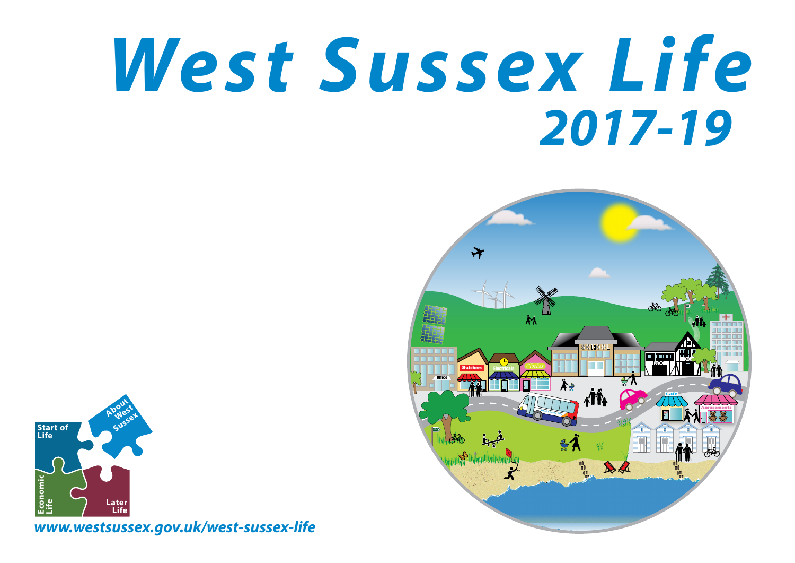## *West Sussex Life 2017-19*





*www.westsussex.gov.uk/west-sussex-life*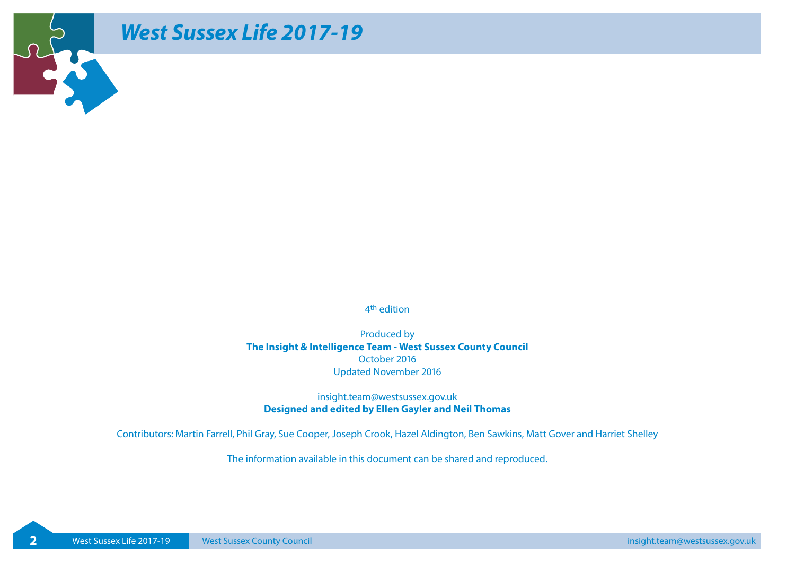## *West Sussex Life 2017-19*

REAR PROPERTY

4th edition

Produced by **The Insight & Intelligence Team - West Sussex County Council**  October 2016 Updated November 2016

insight.team@westsussex.gov.uk **Designed and edited by Ellen Gayler and Neil Thomas**

Contributors: Martin Farrell, Phil Gray, Sue Cooper, Joseph Crook, Hazel Aldington, Ben Sawkins, Matt Gover and Harriet Shelley

The information available in this document can be shared and reproduced.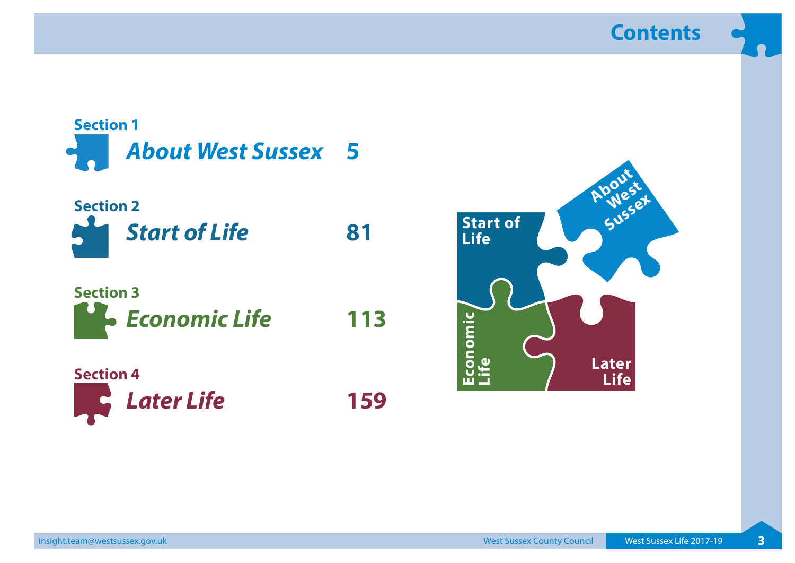**Contents**